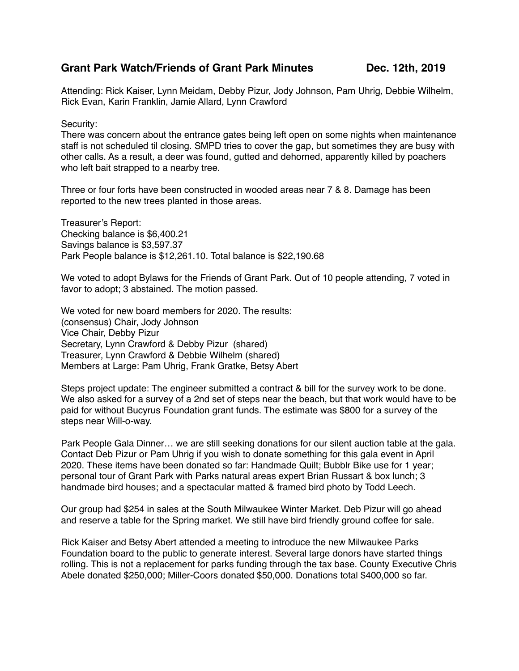## **Grant Park Watch/Friends of Grant Park Minutes Dec. 12th, 2019**

Attending: Rick Kaiser, Lynn Meidam, Debby Pizur, Jody Johnson, Pam Uhrig, Debbie Wilhelm, Rick Evan, Karin Franklin, Jamie Allard, Lynn Crawford

## Security:

There was concern about the entrance gates being left open on some nights when maintenance staff is not scheduled til closing. SMPD tries to cover the gap, but sometimes they are busy with other calls. As a result, a deer was found, gutted and dehorned, apparently killed by poachers who left bait strapped to a nearby tree.

Three or four forts have been constructed in wooded areas near 7 & 8. Damage has been reported to the new trees planted in those areas.

Treasurer's Report: Checking balance is \$6,400.21 Savings balance is \$3,597.37 Park People balance is \$12,261.10. Total balance is \$22,190.68

We voted to adopt Bylaws for the Friends of Grant Park. Out of 10 people attending, 7 voted in favor to adopt; 3 abstained. The motion passed.

We voted for new board members for 2020. The results: (consensus) Chair, Jody Johnson Vice Chair, Debby Pizur Secretary, Lynn Crawford & Debby Pizur (shared) Treasurer, Lynn Crawford & Debbie Wilhelm (shared) Members at Large: Pam Uhrig, Frank Gratke, Betsy Abert

Steps project update: The engineer submitted a contract & bill for the survey work to be done. We also asked for a survey of a 2nd set of steps near the beach, but that work would have to be paid for without Bucyrus Foundation grant funds. The estimate was \$800 for a survey of the steps near Will-o-way.

Park People Gala Dinner… we are still seeking donations for our silent auction table at the gala. Contact Deb Pizur or Pam Uhrig if you wish to donate something for this gala event in April 2020. These items have been donated so far: Handmade Quilt; Bubblr Bike use for 1 year; personal tour of Grant Park with Parks natural areas expert Brian Russart & box lunch; 3 handmade bird houses; and a spectacular matted & framed bird photo by Todd Leech.

Our group had \$254 in sales at the South Milwaukee Winter Market. Deb Pizur will go ahead and reserve a table for the Spring market. We still have bird friendly ground coffee for sale.

Rick Kaiser and Betsy Abert attended a meeting to introduce the new Milwaukee Parks Foundation board to the public to generate interest. Several large donors have started things rolling. This is not a replacement for parks funding through the tax base. County Executive Chris Abele donated \$250,000; Miller-Coors donated \$50,000. Donations total \$400,000 so far.